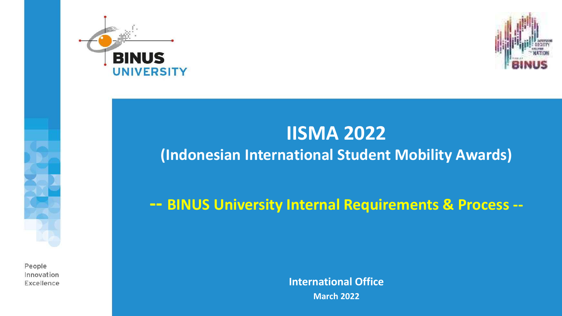



### **IISMA 2022**

#### **(Indonesian International Student Mobility Awards)**

**-- BINUS University Internal Requirements & Process --**

People Innovation Excellence

**International Office March 2022**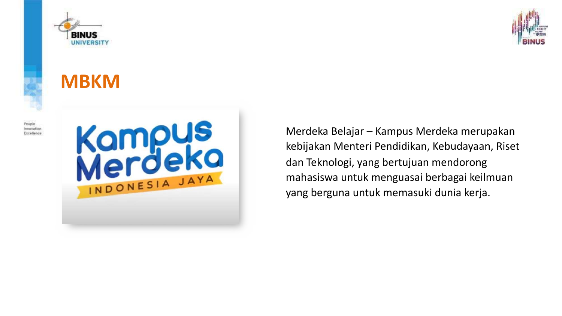

### **MBKM**



People Innovation Excellence



Merdeka Belajar – Kampus Merdeka merupakan kebijakan Menteri Pendidikan, Kebudayaan, Riset dan Teknologi, yang bertujuan mendorong mahasiswa untuk menguasai berbagai keilmuan yang berguna untuk memasuki dunia kerja.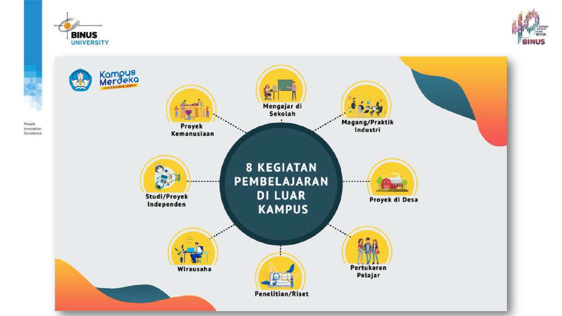

People



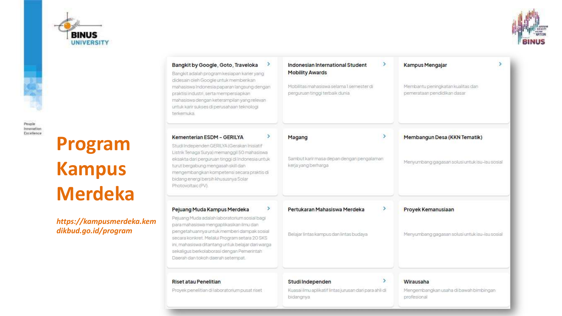



People

Innovation Excellence

**Program Kampus Merdeka**

*https://kampusmerdeka.kem dikbud.go.id/program*

| ><br>Bangkit by Google, Goto, Traveloka<br>Bangkit adalah program kesiapan karier yang<br>didesain oleh Google untuk memberikan<br>mahasiswa Indonesia paparan langsung dengan<br>praktisi industri, serta mempersiapkan<br>mahasiswa dengan keterampilan yang relevan<br>untuk karir sukses di perusahaan teknologi<br>terkemuka                                 | ⋗<br>Indonesian International Student<br><b>Mobility Awards</b><br>Mobilitas mahasiswa selama I semester di<br>perguruan tinggi terbaik dunia | Kampus Mengajar<br>Membantu peningkatan kualitas dan<br>pemerataan pendidikan dasar |
|-------------------------------------------------------------------------------------------------------------------------------------------------------------------------------------------------------------------------------------------------------------------------------------------------------------------------------------------------------------------|-----------------------------------------------------------------------------------------------------------------------------------------------|-------------------------------------------------------------------------------------|
| ><br>Kementerian ESDM - GERILYA<br>Studi Independen GERILYA (Gerakan Inisiatif<br>Listrik Tenaga Surya) memanggil 50 mahasiswa<br>eksakta dari perguruan tinggi di Indonesia untuk<br>turut bergabung mengasah skill dan<br>mengembangkan kompetensi secara praktis di<br>bidang energi bersih khususnya Solar<br>Photovoltaic (PV).                              | ١<br>Magang<br>Sambut karir masa depan dengan pengalaman<br>kerja yang berharga                                                               | Membangun Desa (KKN Tematik)<br>Menyumbang gagasan solusi untuk isu-isu sosial      |
| ><br>Pejuang Muda Kampus Merdeka<br>Pejuang Muda adalah laboratorium sosial bagi<br>para mahasiswa mengaplikasikan ilmu dan<br>pengetahuannya untuk memberi dampak sosial<br>secara konkret. Melalul Program setara 20 SKS<br>ini, mahasiswa ditantang untuk belajar dari warga<br>sekaligus berkolaborasi dengan Pemerintah<br>Daerah dan tokoh daerah setempat. | ≻<br>Pertukaran Mahasiswa Merdeka<br>Belajar lintas kampus dan lintas budaya                                                                  | Proyek Kemanusiaan<br>Menyumbang gagasan solusi untuk isu-isu sosial                |
| <b>Riset atau Penelitian</b><br>Proyek penelitian di laboratorium pusat riset                                                                                                                                                                                                                                                                                     | ×.<br>Studi Independen<br>Kuasai ilmu aplikatif lintas jurusan dari para ahli di<br>bidangnya                                                 | Wirausaha<br>Mengembangkan usaha di bawah bimbingan.<br>profesional                 |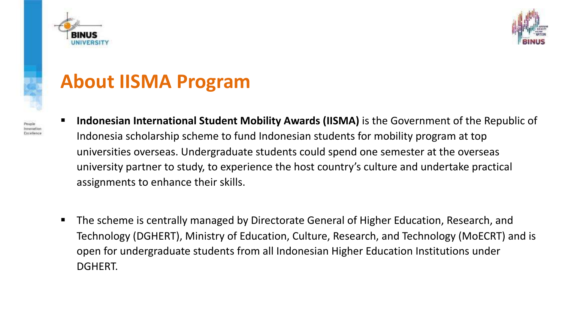

Innovatio Excellence



### **About IISMA Program**

- § **Indonesian International Student Mobility Awards (IISMA)** is the Government of the Republic of Indonesia scholarship scheme to fund Indonesian students for mobility program at top universities overseas. Undergraduate students could spend one semester at the overseas university partner to study, to experience the host country's culture and undertake practical assignments to enhance their skills.
- The scheme is centrally managed by Directorate General of Higher Education, Research, and Technology (DGHERT), Ministry of Education, Culture, Research, and Technology (MoECRT) and is open for undergraduate students from all Indonesian Higher Education Institutions under DGHERT.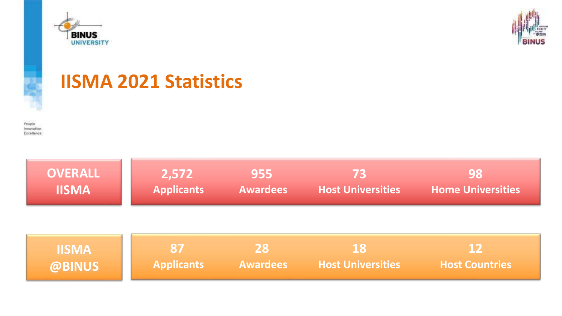





### **IISMA 2021 Statistics**

People Innovation Excellence

| <b>OVERALL</b> | 2,572             | 955             | 73                       | 98                       |
|----------------|-------------------|-----------------|--------------------------|--------------------------|
| <b>IISMA</b>   | <b>Applicants</b> | <b>Awardees</b> | <b>Host Universities</b> | <b>Home Universities</b> |
|                |                   |                 |                          |                          |

| <b>IISMA</b> |                   | 28              |                          |                       |
|--------------|-------------------|-----------------|--------------------------|-----------------------|
| @BINUS       | <b>Applicants</b> | <b>Awardees</b> | <b>Host Universities</b> | <b>Host Countries</b> |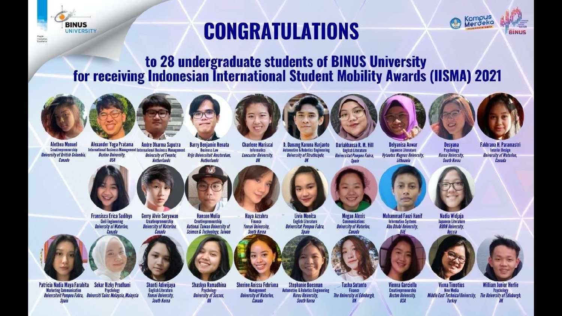

# **CONGRATULATIONS**



to 28 undergraduate students of BINUS University for receiving Indonesian International Student Mobility Awards (IISMA) 2021





**Creativenreneurship University of British Columbia.** Canada



Alexander Yoga Pratama **Andre Dharma Saputra** International Business Management International Business Management **Boston University. University of Twente, Netherlands** 

**Barry Benjamin Renata Business Law** Vrije Universiteit Amsterdam,



**Charlene Mariscal Netherlands** 



**Informatics Lancaster University.** 



D. Danang Karuna Harianto Dariakhansa R. M. Hill **Automotive & Robotics Engineering English Literature University of Strathclyde, Universitat Pompeu Fabra.** Snain





**Delvanisa Anwar** Japanese Literature





Fakhrana H. Paramastri **Interior Design University of Waterloo.** Canada



**Fransisca Erica Sudibyo Civil Engineering University of Waterloo** Canada

**Psychology** 

Patricia Nadia Mava Farahita Sekar Rizky Pradhani

Universiteit Pompeu Fabra, Universiti Sains Malaysia, Malaysia

**Marketing Communication** 

Snain



**Gerry Alvin Suryawan University of Waterloo.** Canada



**Shanti Adiwijaya English Literature Yonsei University.** South Korea

**Hava Azzahra** 

**Hanson Mulia** Creativepreneurship **National Taiwan University of Science & Technology, Taiwan** 



**Shaskya Ramadhina** Psychology **University of Sussex** 

**Yonsei University. South Korea** 

Finance

**Sherine Anissa Febriana Stephanie Boesman Automotive & Robotics Engineering Management University of Waterloo. Korea University.** Canada **South Korea** 



Canada



**Communications University of Waterloo.** 



**Muhammad Fauzi Hanif Information Systems** Abu Dhabi University. **UAE** 

**Vytautas Magnus University.** 

Lithuania



Nadia Widiaja Japanese Literature **RUDN University.** 

Desvana

Psychology

**Korea University** 

**South Korea** 



Creativepreneurship

**Boston University.** 

**USA** 



Russia



**Viona Timotius New Media** Middle East Technical University Turkey

**William Junior Herlie** Psychology The University of Edinburgh.

Livia Monica **English Literature** Snain

Universitat Pompeu Fabra.



Finance



**The University of Edinburgh.** 

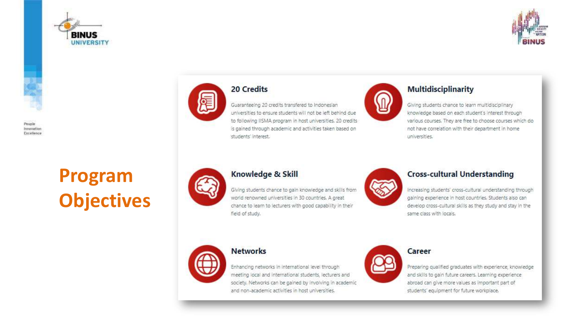





# **Program<br>Objectives**



#### 20 Credits

Guaranteeing 20 credits transfered to Indonesian universities to ensure students will not be left behind due to following IISMA program in host universities. 20 credits is gained through academic and activities taken based on students' interest.



#### **Multidisciplinarity**

Giving students chance to learn multidisciplinary knowledge based on each student's interest through various courses. They are free to choose courses which do not have correlation with their department in home universities.



#### Knowledge & Skill

Giving students chance to gain knowledge and skills from world renowned universities in 30 countries. A great chance to learn to lecturers with good capability in their field of study.



#### **Cross-cultural Understanding**

Increasing students' cross-cultural understanding through gaining experience in host countries. Students also can develop cross-cultural skills as they study and stay in the same class with locals.



#### **Networks**

Enhancing networks in international level through meeting local and international students, lecturers and society. Networks can be gained by involving in academic and non-academic activities in host universities.



#### Career

Preparing qualified graduates with experience, knowledge and skills to gain future careers. Learning experience abroad can give more values as important part of students' equipment for future workplace.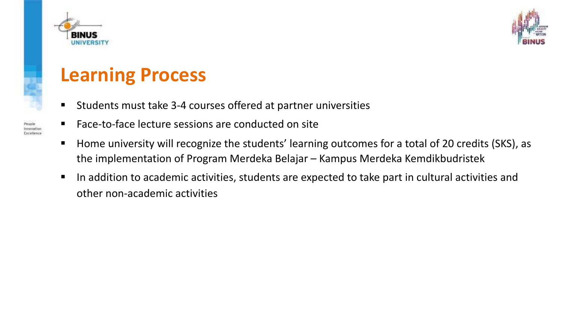



### **Learning Process**

- § Students must take 3-4 courses offered at partner universities
- § Face-to-face lecture sessions are conducted on site
- § Home university will recognize the students' learning outcomes for a total of 20 credits (SKS), as the implementation of Program Merdeka Belajar – Kampus Merdeka Kemdikbudristek
- In addition to academic activities, students are expected to take part in cultural activities and other non-academic activities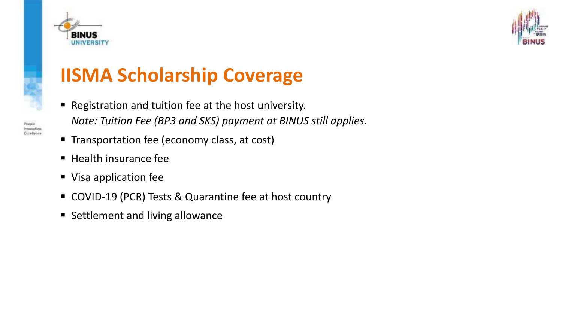



# **IISMA Scholarship Coverage**

- Registration and tuition fee at the host university. *Note: Tuition Fee (BP3 and SKS) payment at BINUS still applies.*
- Transportation fee (economy class, at cost)
- Health insurance fee
- Visa application fee
- COVID-19 (PCR) Tests & Quarantine fee at host country
- Settlement and living allowance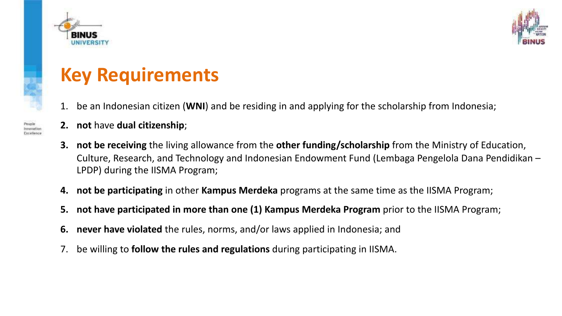



### **Key Requirements**

- 1. be an Indonesian citizen (**WNI**) and be residing in and applying for the scholarship from Indonesia;
- **2. not** have **dual citizenship**;
- **3. not be receiving** the living allowance from the **other funding/scholarship** from the Ministry of Education, Culture, Research, and Technology and Indonesian Endowment Fund (Lembaga Pengelola Dana Pendidikan – LPDP) during the IISMA Program;
- **4. not be participating** in other **Kampus Merdeka** programs at the same time as the IISMA Program;
- **5. not have participated in more than one (1) Kampus Merdeka Program** prior to the IISMA Program;
- **6. never have violated** the rules, norms, and/or laws applied in Indonesia; and
- 7. be willing to **follow the rules and regulations** during participating in IISMA.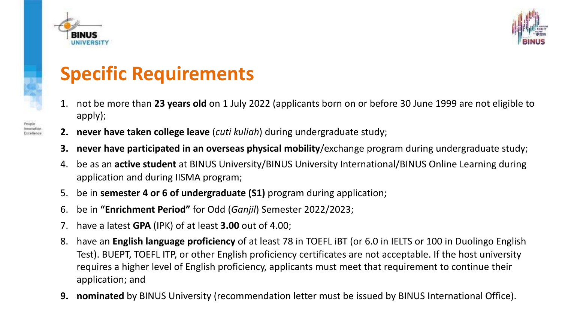

nnovation



## **Specific Requirements**

- 1. not be more than **23 years old** on 1 July 2022 (applicants born on or before 30 June 1999 are not eligible to apply);
- **2. never have taken college leave** (*cuti kuliah*) during undergraduate study;
- **3. never have participated in an overseas physical mobility**/exchange program during undergraduate study;
- 4. be as an **active student** at BINUS University/BINUS University International/BINUS Online Learning during application and during IISMA program;
- 5. be in **semester 4 or 6 of undergraduate (S1)** program during application;
- 6. be in **"Enrichment Period"** for Odd (*Ganjil*) Semester 2022/2023;
- 7. have a latest **GPA** (IPK) of at least **3.00** out of 4.00;
- 8. have an **English language proficiency** of at least 78 in TOEFL iBT (or 6.0 in IELTS or 100 in Duolingo English Test). BUEPT, TOEFL ITP, or other English proficiency certificates are not acceptable. If the host university requires a higher level of English proficiency, applicants must meet that requirement to continue their application; and
- **9. nominated** by BINUS University (recommendation letter must be issued by BINUS International Office).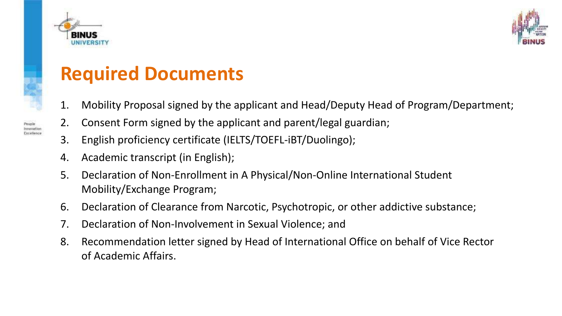



### **Required Documents**

- 1. Mobility Proposal signed by the applicant and Head/Deputy Head of Program/Department;
- 2. Consent Form signed by the applicant and parent/legal guardian;
- 3. English proficiency certificate (IELTS/TOEFL-iBT/Duolingo);
- 4. Academic transcript (in English);
- 5. Declaration of Non-Enrollment in A Physical/Non-Online International Student Mobility/Exchange Program;
- 6. Declaration of Clearance from Narcotic, Psychotropic, or other addictive substance;
- 7. Declaration of Non-Involvement in Sexual Violence; and
- 8. Recommendation letter signed by Head of International Office on behalf of Vice Rector of Academic Affairs.

People Innovation Excellence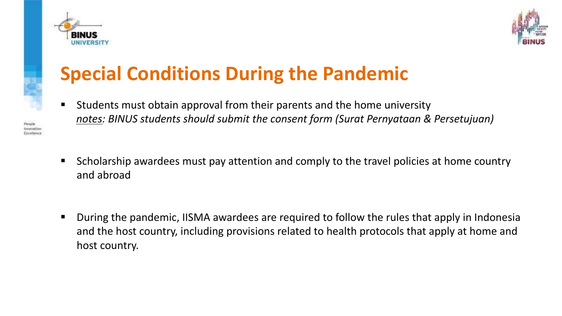



## **Special Conditions During the Pandemic**

- § Students must obtain approval from their parents and the home university *notes: BINUS students should submit the consent form (Surat Pernyataan & Persetujuan)*
- § Scholarship awardees must pay attention and comply to the travel policies at home country and abroad
- § During the pandemic, IISMA awardees are required to follow the rules that apply in Indonesia and the host country, including provisions related to health protocols that apply at home and host country.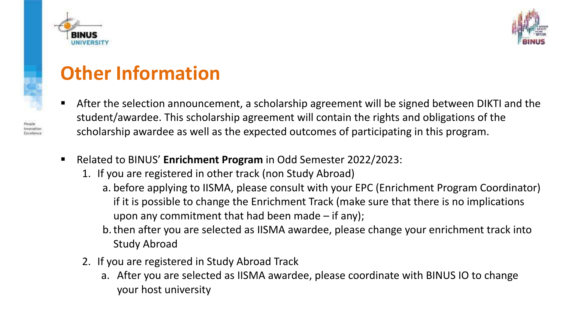



### **Other Information**

- After the selection announcement, a scholarship agreement will be signed between DIKTI and the student/awardee. This scholarship agreement will contain the rights and obligations of the scholarship awardee as well as the expected outcomes of participating in this program.
- § Related to BINUS' **Enrichment Program** in Odd Semester 2022/2023:
	- 1. If you are registered in other track (non Study Abroad)
		- a. before applying to IISMA, please consult with your EPC (Enrichment Program Coordinator) if it is possible to change the Enrichment Track (make sure that there is no implications upon any commitment that had been made  $-$  if any);
		- b.then after you are selected as IISMA awardee, please change your enrichment track into Study Abroad
	- 2. If you are registered in Study Abroad Track
		- a. After you are selected as IISMA awardee, please coordinate with BINUS IO to change your host university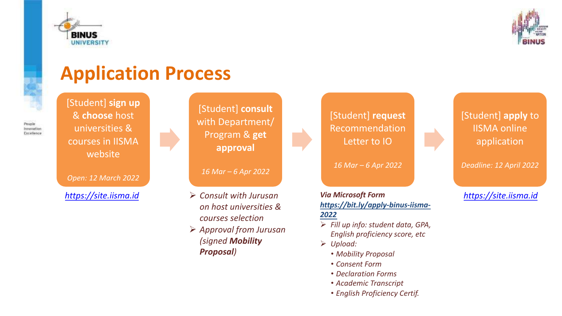



### **Application Process**

[Student] **sign up** & **choose** host universities & courses in IISMA website

*Open: 12 March 2022*

[Student] **consult** with Department/ Program & **get approval**

*16 Mar – 6 Apr 2022*

- Ø *Consult with Jurusan on host universities & courses selection*
- Ø *Approval from Jurusan (signed Mobility Proposal)*



*16 Mar – 6 Apr 2022*

*Via Microsoft Form [https://bit.ly/apply-binus-iisma-](https://bit.ly/apply-binus-iisma-2022)2022 [https://site.iisma.id](https://site.iisma.id/) [https://site.iisma.id](https://site.iisma.id/)*

- Ø *Fill up info: student data, GPA, English proficiency score, etc*
- Ø *Upload:*
	- *Mobility Proposal*
	- *Consent Form*
	- *Declaration Forms*
	- *Academic Transcript*
	- *English Proficiency Certif.*

#### [Student] **apply** to IISMA online application

*Deadline: 12 April 2022*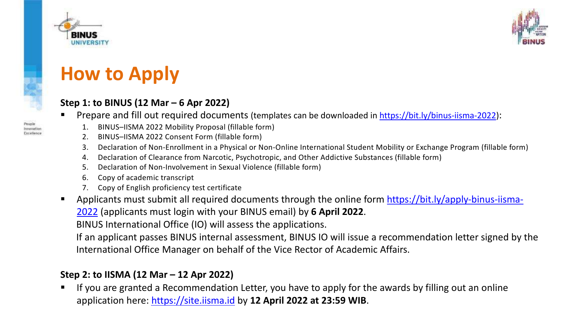



### **How to Apply**

#### **Step 1: to BINUS (12 Mar – 6 Apr 2022)**

- § Prepare and fill out required documents (templates can be downloaded in<https://bit.ly/binus-iisma-2022>):
	- 1. BINUS–IISMA 2022 Mobility Proposal (fillable form)
	- 2. BINUS–IISMA 2022 Consent Form (fillable form)
	- 3. Declaration of Non-Enrollment in a Physical or Non-Online International Student Mobility or Exchange Program (fillable form)
	- 4. Declaration of Clearance from Narcotic, Psychotropic, and Other Addictive Substances (fillable form)
	- 5. Declaration of Non-Involvement in Sexual Violence (fillable form)
	- 6. Copy of academic transcript
	- 7. Copy of English proficiency test certificate
- [Applicants must submit all required documents through the online form https://bit.ly/apply-binus-iisma-](https://bit.ly/apply-binus-iisma-2022)2022 (applicants must login with your BINUS email) by **6 April 2022**.

BINUS International Office (IO) will assess the applications.

If an applicant passes BINUS internal assessment, BINUS IO will issue a recommendation letter signed by the International Office Manager on behalf of the Vice Rector of Academic Affairs.

#### **Step 2: to IISMA (12 Mar – 12 Apr 2022)**

If you are granted a Recommendation Letter, you have to apply for the awards by filling out an online application here: [https://site.iisma.id](https://site.iisma.id/) by **12 April 2022 at 23:59 WIB**.

**Innovation** Excellence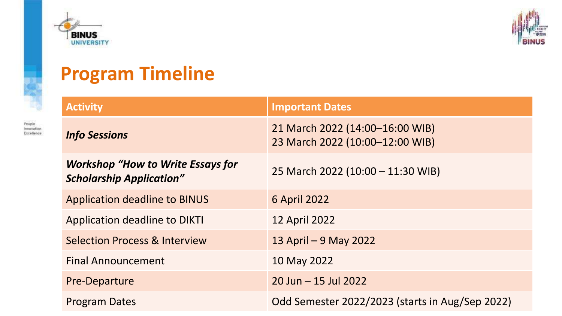

People Innovation Excellence



### **Program Timeline**

| <b>Activity</b>                                                             | <b>Important Dates</b>                                             |
|-----------------------------------------------------------------------------|--------------------------------------------------------------------|
| <b>Info Sessions</b>                                                        | 21 March 2022 (14:00-16:00 WIB)<br>23 March 2022 (10:00-12:00 WIB) |
| <b>Workshop "How to Write Essays for</b><br><b>Scholarship Application"</b> | 25 March 2022 (10:00 - 11:30 WIB)                                  |
| <b>Application deadline to BINUS</b>                                        | <b>6 April 2022</b>                                                |
| <b>Application deadline to DIKTI</b>                                        | <b>12 April 2022</b>                                               |
| <b>Selection Process &amp; Interview</b>                                    | 13 April – 9 May 2022                                              |
| <b>Final Announcement</b>                                                   | 10 May 2022                                                        |
| <b>Pre-Departure</b>                                                        | $20$ Jun $-15$ Jul 2022                                            |
| <b>Program Dates</b>                                                        | Odd Semester 2022/2023 (starts in Aug/Sep 2022)                    |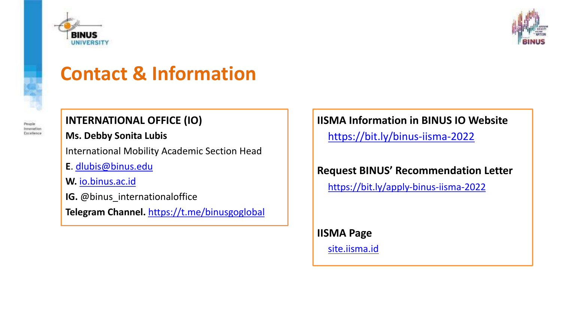



### **Contact & Information**



#### **INTERNATIONAL OFFICE (IO)**

#### **Ms. Debby Sonita Lubis**

International Mobility Academic Section Head

- **E**. [dlubis@binus.edu](mailto:dlubis@binus.edu)
- **W.** [io.binus.ac.id](http://io.binus.ac.id)
- **IG.** @binus\_internationaloffice
- **Telegram Channel.** <https://t.me/binusgoglobal>

#### **IISMA Information in BINUS IO Website**

<https://bit.ly/binus-iisma-2022>

**Request BINUS' Recommendation Letter**

<https://bit.ly/apply-binus-iisma-2022>

**IISMA Page** <site.iisma.id>